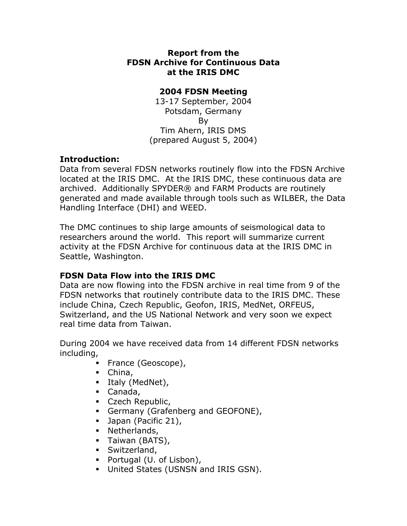#### **Report from the FDSN Archive for Continuous Data at the IRIS DMC**

### **2004 FDSN Meeting**

13-17 September, 2004 Potsdam, Germany By Tim Ahern, IRIS DMS (prepared August 5, 2004)

## **Introduction:**

Data from several FDSN networks routinely flow into the FDSN Archive located at the IRIS DMC. At the IRIS DMC, these continuous data are archived. Additionally SPYDER® and FARM Products are routinely generated and made available through tools such as WILBER, the Data Handling Interface (DHI) and WEED.

The DMC continues to ship large amounts of seismological data to researchers around the world. This report will summarize current activity at the FDSN Archive for continuous data at the IRIS DMC in Seattle, Washington.

# **FDSN Data Flow into the IRIS DMC**

Data are now flowing into the FDSN archive in real time from 9 of the FDSN networks that routinely contribute data to the IRIS DMC. These include China, Czech Republic, Geofon, IRIS, MedNet, ORFEUS, Switzerland, and the US National Network and very soon we expect real time data from Taiwan.

During 2004 we have received data from 14 different FDSN networks including,

- France (Geoscope),
- China,
- $\blacksquare$  Italy (MedNet),
- Canada,
- **Czech Republic,**
- Germany (Grafenberg and GEOFONE),
- **Japan (Pacific 21),**
- Netherlands,
- Taiwan (BATS),
- **Switzerland,**
- Portugal (U. of Lisbon),
- **United States (USNSN and IRIS GSN).**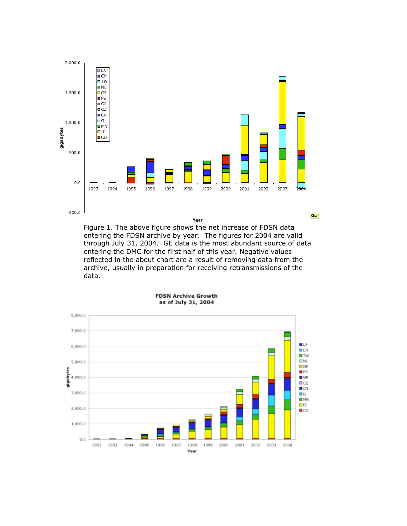

Figure 1. The above figure shows the net increase of FDSN data entering the FDSN archive by year. The figures for 2004 are valid through July 31, 2004. GE data is the most abundant source of data entering the DMC for the first half of this year. Negative values reflected in the about chart are a result of removing data from the archive, usually in preparation for receiving retransmissions of the data.



**FDSN Archive Growth** as of July 31, 2004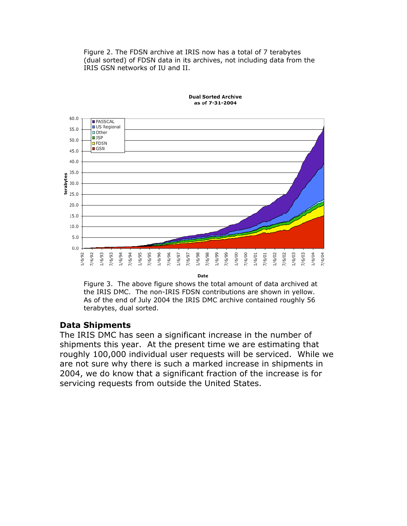Figure 2. The FDSN archive at IRIS now has a total of 7 terabytes (dual sorted) of FDSN data in its archives, not including data from the IRIS GSN networks of IU and II.



**Dual Sorted Archive** as of 7-31-2004

Date

Figure 3. The above figure shows the total amount of data archived at the IRIS DMC. The non-IRIS FDSN contributions are shown in yellow. As of the end of July 2004 the IRIS DMC archive contained roughly 56 terabytes, dual sorted.

#### **Data Shipments**

The IRIS DMC has seen a significant increase in the number of shipments this year. At the present time we are estimating that roughly 100,000 individual user requests will be serviced. While we are not sure why there is such a marked increase in shipments in 2004, we do know that a significant fraction of the increase is for servicing requests from outside the United States.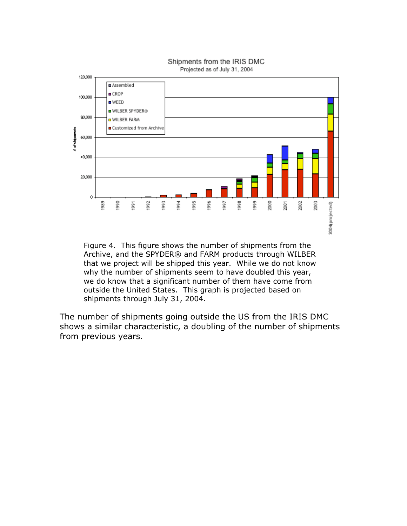

Shipments from the IRIS DMC Projected as of July 31, 2004

Figure 4. This figure shows the number of shipments from the Archive, and the SPYDER® and FARM products through WILBER that we project will be shipped this year. While we do not know why the number of shipments seem to have doubled this year, we do know that a significant number of them have come from outside the United States. This graph is projected based on shipments through July 31, 2004.

The number of shipments going outside the US from the IRIS DMC shows a similar characteristic, a doubling of the number of shipments from previous years.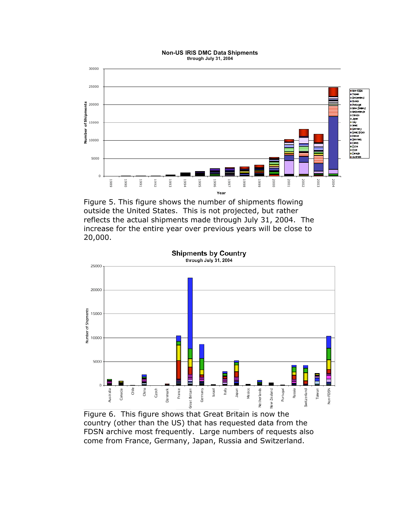#### **Non-US IRIS DMC Data Shipments** through July 31, 2004



Figure 5. This figure shows the number of shipments flowing outside the United States. This is not projected, but rather reflects the actual shipments made through July 31, 2004. The increase for the entire year over previous years will be close to 20,000.



Figure 6. This figure shows that Great Britain is now the country (other than the US) that has requested data from the FDSN archive most frequently. Large numbers of requests also come from France, Germany, Japan, Russia and Switzerland.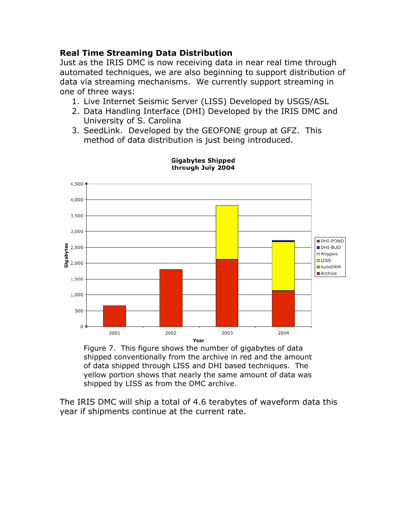### **Real Time Streaming Data Distribution**

Just as the IRIS DMC is now receiving data in near real time through automated techniques, we are also beginning to support distribution of data via streaming mechanisms. We currently support streaming in one of three ways:

- 1. Live Internet Seismic Server (LISS) Developed by USGS/ASL
- 2. Data Handling Interface (DHI) Developed by the IRIS DMC and University of S. Carolina
- 3. SeedLink. Developed by the GEOFONE group at GFZ. This method of data distribution is just being introduced.



**Gigabytes Shipped** through July 2004

Figure 7. This figure shows the number of gigabytes of data shipped conventionally from the archive in red and the amount of data shipped through LISS and DHI based techniques. The yellow portion shows that nearly the same amount of data was shipped by LISS as from the DMC archive.

The IRIS DMC will ship a total of 4.6 terabytes of waveform data this year if shipments continue at the current rate.